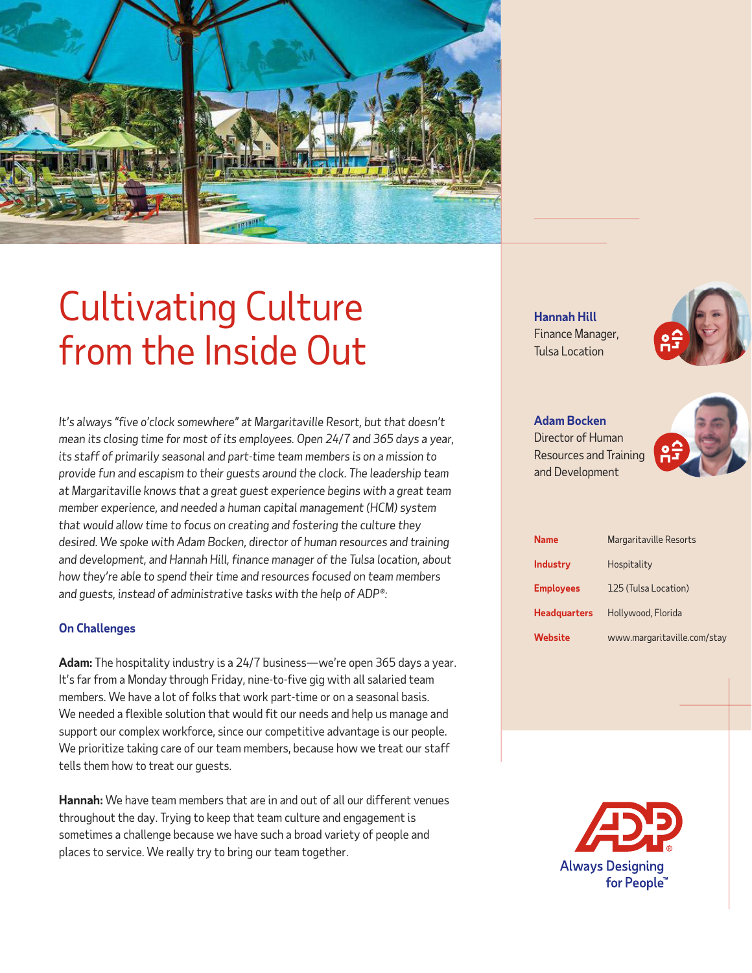

# Cultivating Culture from the Inside Out

*It's always "five o'clock somewhere" at Margaritaville Resort, but that doesn't mean its closing time for most of its employees. Open 24/7 and 365 days a year, its staff of primarily seasonal and part-time team members is on a mission to provide fun and escapism to their guests around the clock. The leadership team at Margaritaville knows that a great guest experience begins with a great team member experience, and needed a human capital management (HCM) system that would allow time to focus on creating and fostering the culture they desired. We spoke with Adam Bocken, director of human resources and training and development, and Hannah Hill, finance manager of the Tulsa location, about how they're able to spend their time and resources focused on team members and guests, instead of administrative tasks with the help of ADP®:*

# **On Challenges**

**Adam:** The hospitality industry is a 24/7 business—we're open 365 days a year. It's far from a Monday through Friday, nine-to-five gig with all salaried team members. We have a lot of folks that work part-time or on a seasonal basis. We needed a flexible solution that would fit our needs and help us manage and support our complex workforce, since our competitive advantage is our people. We prioritize taking care of our team members, because how we treat our staff tells them how to treat our guests.

**Hannah:** We have team members that are in and out of all our different venues throughout the day. Trying to keep that team culture and engagement is sometimes a challenge because we have such a broad variety of people and places to service. We really try to bring our team together.

**Hannah Hill** Finance Manager, Tulsa Location



**Adam Bocken** Director of Human Resources and Training and Development



| Name                | Margaritaville Resorts      |
|---------------------|-----------------------------|
| <b>Industry</b>     | Hospitality                 |
| <b>Employees</b>    | 125 (Tulsa Location)        |
| <b>Headquarters</b> | Hollywood, Florida          |
| Website             | www.margaritaville.com/stay |

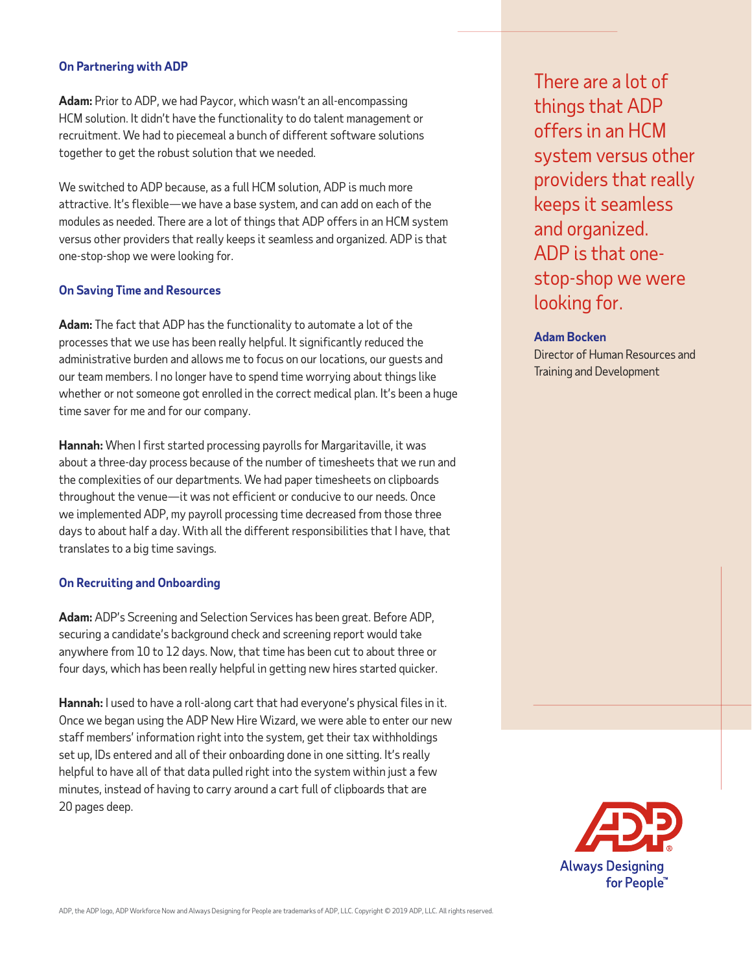# **On Partnering with ADP**

**Adam:** Prior to ADP, we had Paycor, which wasn't an all-encompassing HCM solution. It didn't have the functionality to do talent management or recruitment. We had to piecemeal a bunch of different software solutions together to get the robust solution that we needed.

We switched to ADP because, as a full HCM solution, ADP is much more attractive. It's flexible—we have a base system, and can add on each of the modules as needed. There are a lot of things that ADP offers in an HCM system versus other providers that really keeps it seamless and organized. ADP is that one-stop-shop we were looking for.

# **On Saving Time and Resources**

**Adam:** The fact that ADP has the functionality to automate a lot of the processes that we use has been really helpful. It significantly reduced the administrative burden and allows me to focus on our locations, our guests and our team members. I no longer have to spend time worrying about things like whether or not someone got enrolled in the correct medical plan. It's been a huge time saver for me and for our company.

**Hannah:** When I first started processing payrolls for Margaritaville, it was about a three-day process because of the number of timesheets that we run and the complexities of our departments. We had paper timesheets on clipboards throughout the venue—it was not efficient or conducive to our needs. Once we implemented ADP, my payroll processing time decreased from those three days to about half a day. With all the different responsibilities that I have, that translates to a big time savings.

#### **On Recruiting and Onboarding**

**Adam:** ADP's Screening and Selection Services has been great. Before ADP, securing a candidate's background check and screening report would take anywhere from 10 to 12 days. Now, that time has been cut to about three or four days, which has been really helpful in getting new hires started quicker.

**Hannah:** I used to have a roll-along cart that had everyone's physical files in it. Once we began using the ADP New Hire Wizard, we were able to enter our new staff members' information right into the system, get their tax withholdings set up, IDs entered and all of their onboarding done in one sitting. It's really helpful to have all of that data pulled right into the system within just a few minutes, instead of having to carry around a cart full of clipboards that are 20 pages deep.

There are a lot of things that ADP offers in an HCM system versus other providers that really keeps it seamless and organized. ADP is that onestop-shop we were looking for.

#### **Adam Bocken**

Director of Human Resources and Training and Development